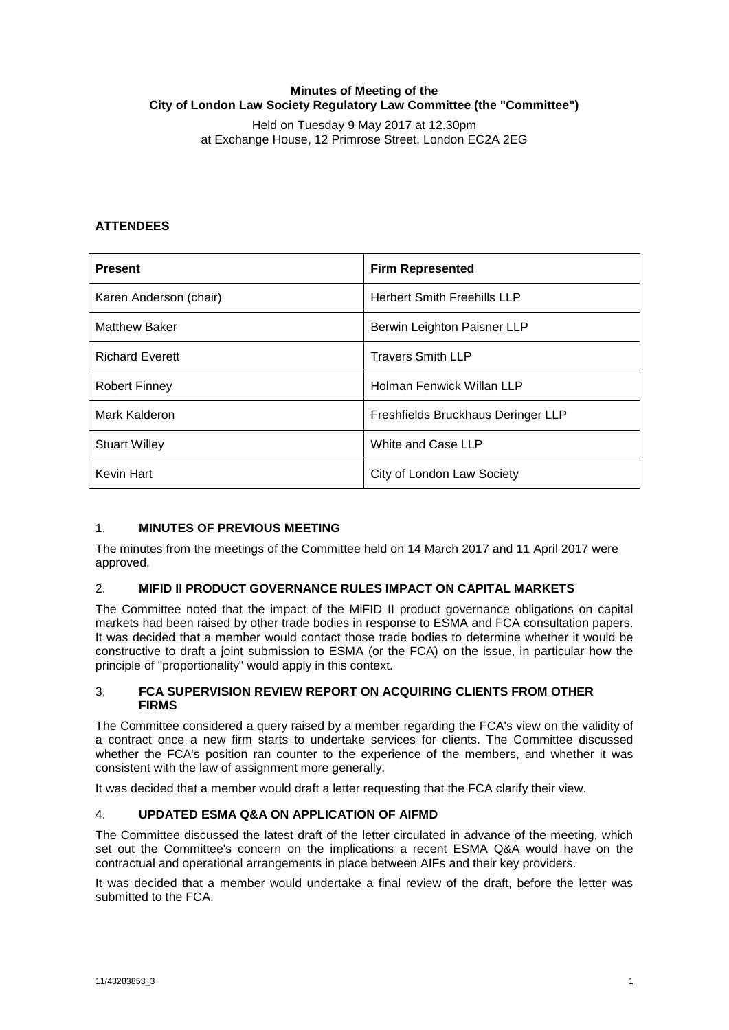# **Minutes of Meeting of the City of London Law Society Regulatory Law Committee (the "Committee")**

Held on Tuesday 9 May 2017 at 12.30pm at Exchange House, 12 Primrose Street, London EC2A 2EG

# **ATTENDEES**

| <b>Present</b>         | <b>Firm Represented</b>            |
|------------------------|------------------------------------|
| Karen Anderson (chair) | <b>Herbert Smith Freehills LLP</b> |
| <b>Matthew Baker</b>   | Berwin Leighton Paisner LLP        |
| <b>Richard Everett</b> | <b>Travers Smith LLP</b>           |
| <b>Robert Finney</b>   | Holman Fenwick Willan LLP          |
| Mark Kalderon          | Freshfields Bruckhaus Deringer LLP |
| <b>Stuart Willey</b>   | White and Case LLP                 |
| Kevin Hart             | City of London Law Society         |

# 1. **MINUTES OF PREVIOUS MEETING**

The minutes from the meetings of the Committee held on 14 March 2017 and 11 April 2017 were approved.

# 2. **MIFID II PRODUCT GOVERNANCE RULES IMPACT ON CAPITAL MARKETS**

The Committee noted that the impact of the MiFID II product governance obligations on capital markets had been raised by other trade bodies in response to ESMA and FCA consultation papers. It was decided that a member would contact those trade bodies to determine whether it would be constructive to draft a joint submission to ESMA (or the FCA) on the issue, in particular how the principle of "proportionality" would apply in this context.

### 3. **FCA SUPERVISION REVIEW REPORT ON ACQUIRING CLIENTS FROM OTHER FIRMS**

The Committee considered a query raised by a member regarding the FCA's view on the validity of a contract once a new firm starts to undertake services for clients. The Committee discussed whether the FCA's position ran counter to the experience of the members, and whether it was consistent with the law of assignment more generally.

It was decided that a member would draft a letter requesting that the FCA clarify their view.

# 4. **UPDATED ESMA Q&A ON APPLICATION OF AIFMD**

The Committee discussed the latest draft of the letter circulated in advance of the meeting, which set out the Committee's concern on the implications a recent ESMA Q&A would have on the contractual and operational arrangements in place between AIFs and their key providers.

It was decided that a member would undertake a final review of the draft, before the letter was submitted to the FCA.